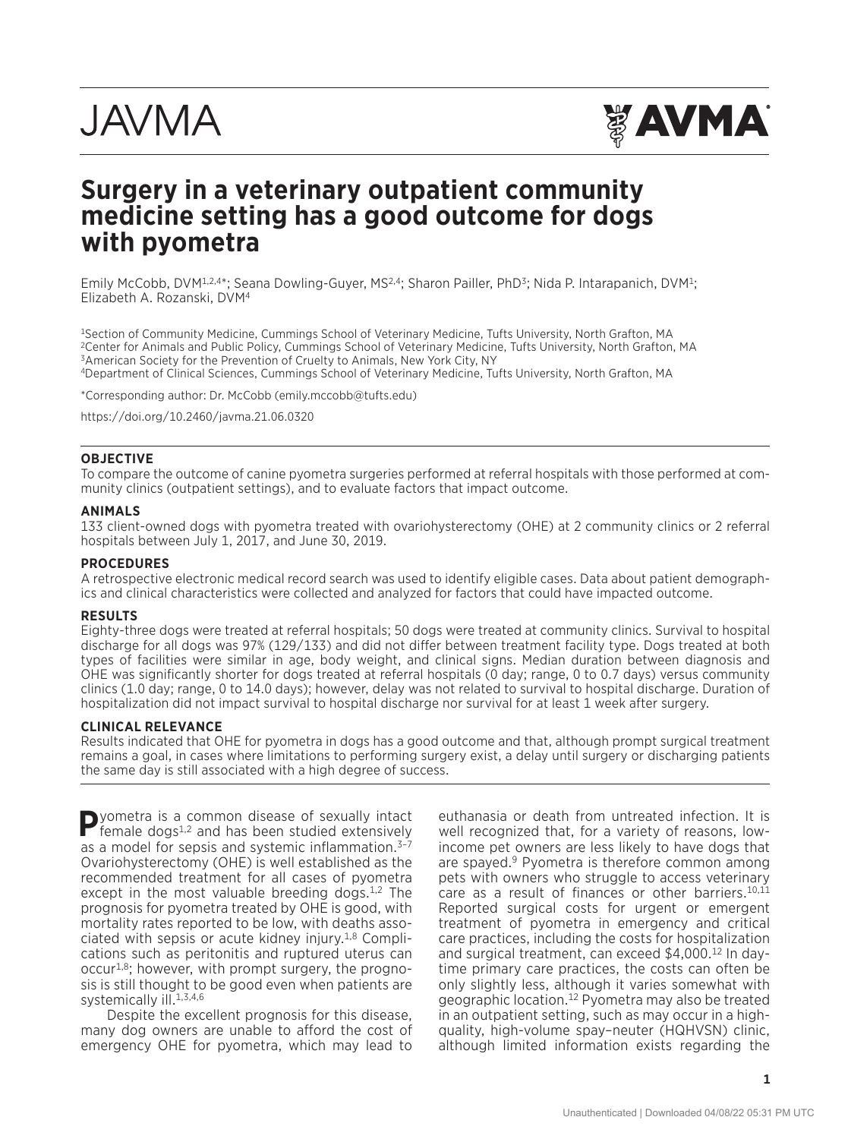# **JAVMA**



# **Surgery in a veterinary outpatient community medicine setting has a good outcome for dogs with pyometra**

Emily McCobb, DVM<sup>1,2,4\*</sup>; Seana Dowling-Guyer, MS<sup>2,4</sup>; Sharon Pailler, PhD<sup>3</sup>; Nida P. Intarapanich, DVM<sup>1</sup>; Elizabeth A. Rozanski, DVM4

1Section of Community Medicine, Cummings School of Veterinary Medicine, Tufts University, North Grafton, MA 2Center for Animals and Public Policy, Cummings School of Veterinary Medicine, Tufts University, North Grafton, MA 3American Society for the Prevention of Cruelty to Animals, New York City, NY 4Department of Clinical Sciences, Cummings School of Veterinary Medicine, Tufts University, North Grafton, MA

\*Corresponding author: Dr. McCobb (emily.mccobb@tufts.edu)

https://doi.org/10.2460/javma.21.06.0320

#### **OBJECTIVE**

To compare the outcome of canine pyometra surgeries performed at referral hospitals with those performed at community clinics (outpatient settings), and to evaluate factors that impact outcome.

#### **ANIMALS**

133 client-owned dogs with pyometra treated with ovariohysterectomy (OHE) at 2 community clinics or 2 referral hospitals between July 1, 2017, and June 30, 2019.

#### **PROCEDURES**

A retrospective electronic medical record search was used to identify eligible cases. Data about patient demographics and clinical characteristics were collected and analyzed for factors that could have impacted outcome.

#### **RESULTS**

Eighty-three dogs were treated at referral hospitals; 50 dogs were treated at community clinics. Survival to hospital discharge for all dogs was 97% (129/133) and did not differ between treatment facility type. Dogs treated at both types of facilities were similar in age, body weight, and clinical signs. Median duration between diagnosis and OHE was significantly shorter for dogs treated at referral hospitals (0 day; range, 0 to 0.7 days) versus community clinics (1.0 day; range, 0 to 14.0 days); however, delay was not related to survival to hospital discharge. Duration of hospitalization did not impact survival to hospital discharge nor survival for at least 1 week after surgery.

#### **CLINICAL RELEVANCE**

Results indicated that OHE for pyometra in dogs has a good outcome and that, although prompt surgical treatment remains a goal, in cases where limitations to performing surgery exist, a delay until surgery or discharging patients the same day is still associated with a high degree of success.

**P**yometra is a common disease of sexually intact female dogs<sup>1,2</sup> and has been studied extensively as a model for sepsis and systemic inflammation.<sup>3-7</sup> Ovariohysterectomy (OHE) is well established as the recommended treatment for all cases of pyometra except in the most valuable breeding dogs. $1,2$  The prognosis for pyometra treated by OHE is good, with mortality rates reported to be low, with deaths associated with sepsis or acute kidney injury.1,8 Complications such as peritonitis and ruptured uterus can occur1,8; however, with prompt surgery, the prognosis is still thought to be good even when patients are systemically ill.<sup>1,3,4,6</sup>

Despite the excellent prognosis for this disease, many dog owners are unable to afford the cost of emergency OHE for pyometra, which may lead to

euthanasia or death from untreated infection. It is well recognized that, for a variety of reasons, lowincome pet owners are less likely to have dogs that are spayed.<sup>9</sup> Pyometra is therefore common among pets with owners who struggle to access veterinary care as a result of finances or other barriers.<sup>10,11</sup> Reported surgical costs for urgent or emergent treatment of pyometra in emergency and critical care practices, including the costs for hospitalization and surgical treatment, can exceed \$4,000.<sup>12</sup> In daytime primary care practices, the costs can often be only slightly less, although it varies somewhat with geographic location.12 Pyometra may also be treated in an outpatient setting, such as may occur in a highquality, high-volume spay–neuter (HQHVSN) clinic, although limited information exists regarding the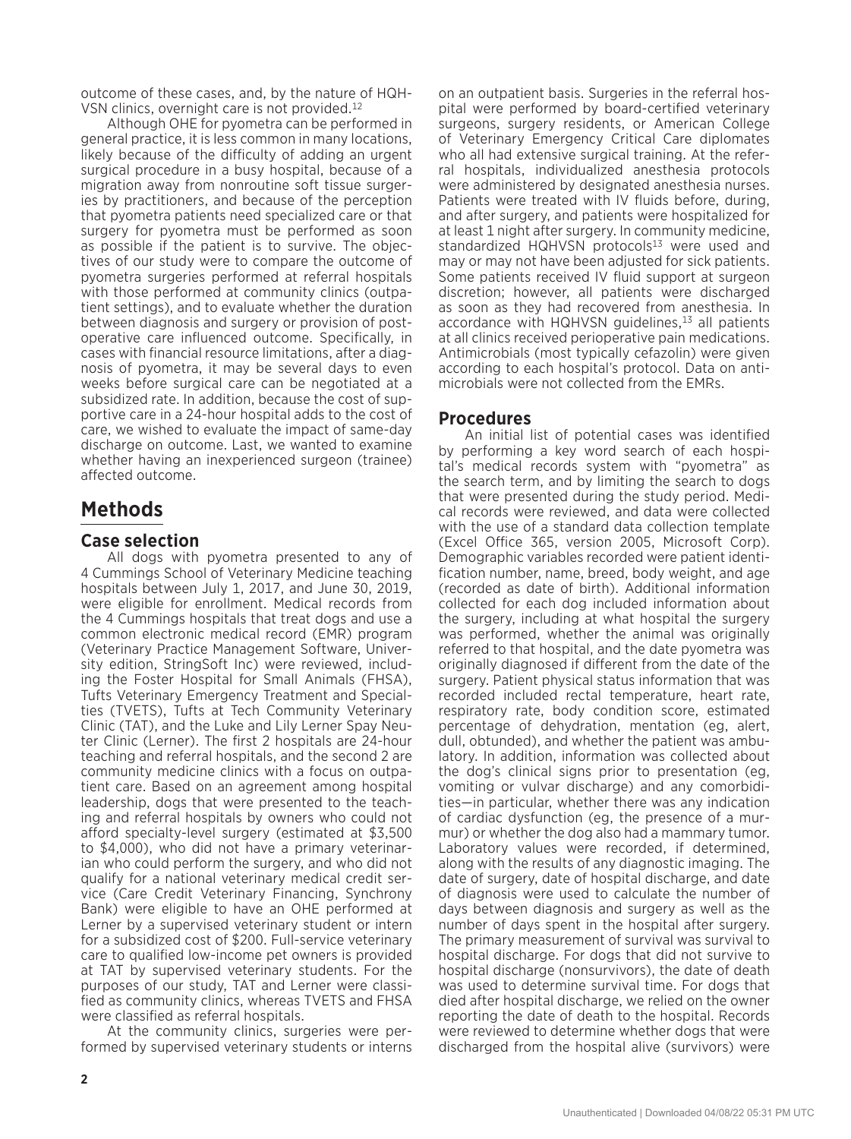outcome of these cases, and, by the nature of HQH-VSN clinics, overnight care is not provided.12

Although OHE for pyometra can be performed in general practice, it is less common in many locations, likely because of the difficulty of adding an urgent surgical procedure in a busy hospital, because of a migration away from nonroutine soft tissue surgeries by practitioners, and because of the perception that pyometra patients need specialized care or that surgery for pyometra must be performed as soon as possible if the patient is to survive. The objectives of our study were to compare the outcome of pyometra surgeries performed at referral hospitals with those performed at community clinics (outpatient settings), and to evaluate whether the duration between diagnosis and surgery or provision of postoperative care influenced outcome. Specifically, in cases with financial resource limitations, after a diagnosis of pyometra, it may be several days to even weeks before surgical care can be negotiated at a subsidized rate. In addition, because the cost of supportive care in a 24-hour hospital adds to the cost of care, we wished to evaluate the impact of same-day discharge on outcome. Last, we wanted to examine whether having an inexperienced surgeon (trainee) affected outcome.

# **Methods**

### **Case selection**

All dogs with pyometra presented to any of 4 Cummings School of Veterinary Medicine teaching hospitals between July 1, 2017, and June 30, 2019, were eligible for enrollment. Medical records from the 4 Cummings hospitals that treat dogs and use a common electronic medical record (EMR) program (Veterinary Practice Management Software, University edition, StringSoft Inc) were reviewed, including the Foster Hospital for Small Animals (FHSA), Tufts Veterinary Emergency Treatment and Specialties (TVETS), Tufts at Tech Community Veterinary Clinic (TAT), and the Luke and Lily Lerner Spay Neuter Clinic (Lerner). The first 2 hospitals are 24-hour teaching and referral hospitals, and the second 2 are community medicine clinics with a focus on outpatient care. Based on an agreement among hospital leadership, dogs that were presented to the teaching and referral hospitals by owners who could not afford specialty-level surgery (estimated at \$3,500 to \$4,000), who did not have a primary veterinarian who could perform the surgery, and who did not qualify for a national veterinary medical credit service (Care Credit Veterinary Financing, Synchrony Bank) were eligible to have an OHE performed at Lerner by a supervised veterinary student or intern for a subsidized cost of \$200. Full-service veterinary care to qualified low-income pet owners is provided at TAT by supervised veterinary students. For the purposes of our study, TAT and Lerner were classified as community clinics, whereas TVETS and FHSA were classified as referral hospitals.

At the community clinics, surgeries were performed by supervised veterinary students or interns on an outpatient basis. Surgeries in the referral hospital were performed by board-certified veterinary surgeons, surgery residents, or American College of Veterinary Emergency Critical Care diplomates who all had extensive surgical training. At the referral hospitals, individualized anesthesia protocols were administered by designated anesthesia nurses. Patients were treated with IV fluids before, during, and after surgery, and patients were hospitalized for at least 1 night after surgery. In community medicine, standardized HQHVSN protocols<sup>13</sup> were used and may or may not have been adjusted for sick patients. Some patients received IV fluid support at surgeon discretion; however, all patients were discharged as soon as they had recovered from anesthesia. In accordance with HQHVSN quidelines, $13$  all patients at all clinics received perioperative pain medications. Antimicrobials (most typically cefazolin) were given according to each hospital's protocol. Data on antimicrobials were not collected from the EMRs.

## **Procedures**

An initial list of potential cases was identified by performing a key word search of each hospital's medical records system with "pyometra" as the search term, and by limiting the search to dogs that were presented during the study period. Medical records were reviewed, and data were collected with the use of a standard data collection template (Excel Office 365, version 2005, Microsoft Corp). Demographic variables recorded were patient identification number, name, breed, body weight, and age (recorded as date of birth). Additional information collected for each dog included information about the surgery, including at what hospital the surgery was performed, whether the animal was originally referred to that hospital, and the date pyometra was originally diagnosed if different from the date of the surgery. Patient physical status information that was recorded included rectal temperature, heart rate, respiratory rate, body condition score, estimated percentage of dehydration, mentation (eg, alert, dull, obtunded), and whether the patient was ambulatory. In addition, information was collected about the dog's clinical signs prior to presentation (eg, vomiting or vulvar discharge) and any comorbidities—in particular, whether there was any indication of cardiac dysfunction (eg, the presence of a murmur) or whether the dog also had a mammary tumor. Laboratory values were recorded, if determined, along with the results of any diagnostic imaging. The date of surgery, date of hospital discharge, and date of diagnosis were used to calculate the number of days between diagnosis and surgery as well as the number of days spent in the hospital after surgery. The primary measurement of survival was survival to hospital discharge. For dogs that did not survive to hospital discharge (nonsurvivors), the date of death was used to determine survival time. For dogs that died after hospital discharge, we relied on the owner reporting the date of death to the hospital. Records were reviewed to determine whether dogs that were discharged from the hospital alive (survivors) were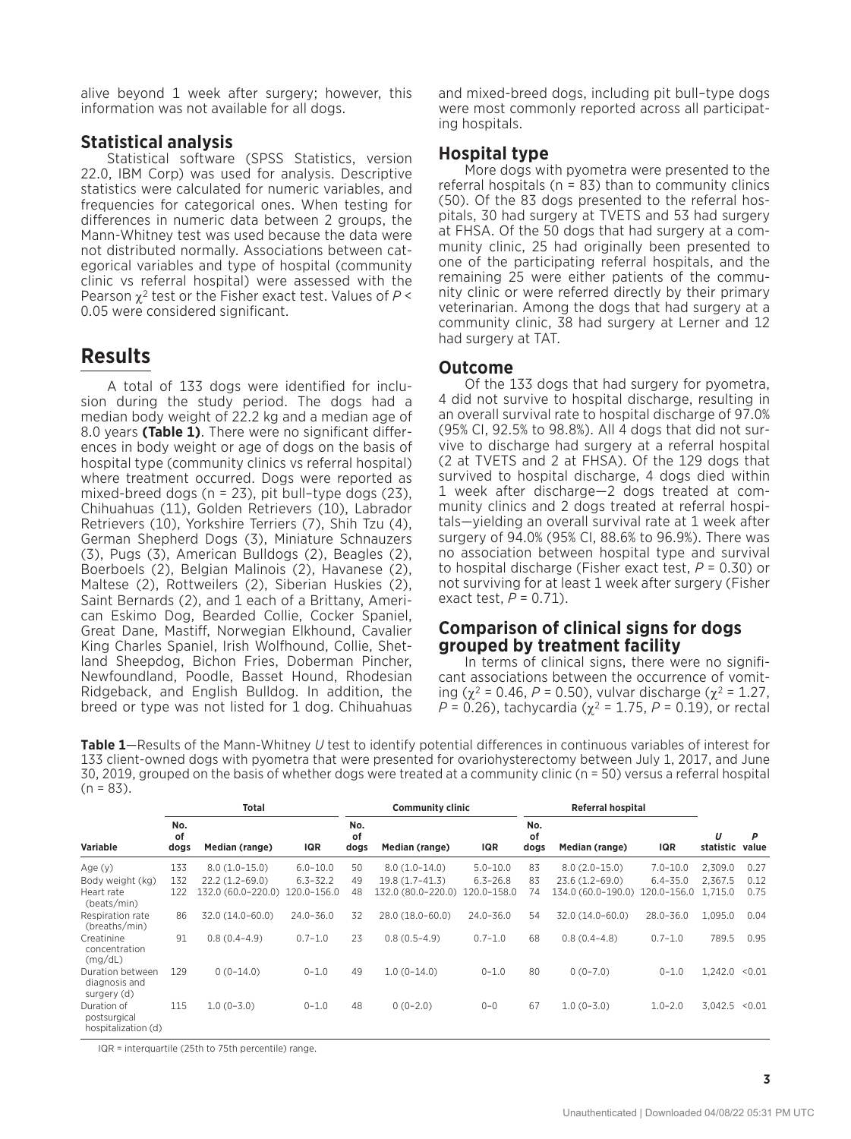alive beyond 1 week after surgery; however, this information was not available for all dogs.

#### **Statistical analysis**

Statistical software (SPSS Statistics, version 22.0, IBM Corp) was used for analysis. Descriptive statistics were calculated for numeric variables, and frequencies for categorical ones. When testing for differences in numeric data between 2 groups, the Mann-Whitney test was used because the data were not distributed normally. Associations between categorical variables and type of hospital (community clinic vs referral hospital) were assessed with the Pearson χ2 test or the Fisher exact test. Values of *P* < 0.05 were considered significant.

## **Results**

A total of 133 dogs were identified for inclusion during the study period. The dogs had a median body weight of 22.2 kg and a median age of 8.0 years **(Table 1)**. There were no significant differences in body weight or age of dogs on the basis of hospital type (community clinics vs referral hospital) where treatment occurred. Dogs were reported as mixed-breed dogs (n = 23), pit bull–type dogs (23), Chihuahuas (11), Golden Retrievers (10), Labrador Retrievers (10), Yorkshire Terriers (7), Shih Tzu (4), German Shepherd Dogs (3), Miniature Schnauzers (3), Pugs (3), American Bulldogs (2), Beagles (2), Boerboels (2), Belgian Malinois (2), Havanese (2), Maltese (2), Rottweilers (2), Siberian Huskies (2), Saint Bernards (2), and 1 each of a Brittany, American Eskimo Dog, Bearded Collie, Cocker Spaniel, Great Dane, Mastiff, Norwegian Elkhound, Cavalier King Charles Spaniel, Irish Wolfhound, Collie, Shetland Sheepdog, Bichon Fries, Doberman Pincher, Newfoundland, Poodle, Basset Hound, Rhodesian Ridgeback, and English Bulldog. In addition, the breed or type was not listed for 1 dog. Chihuahuas

and mixed-breed dogs, including pit bull–type dogs were most commonly reported across all participating hospitals.

## **Hospital type**

More dogs with pyometra were presented to the referral hospitals ( $n = 83$ ) than to community clinics (50). Of the 83 dogs presented to the referral hospitals, 30 had surgery at TVETS and 53 had surgery at FHSA. Of the 50 dogs that had surgery at a community clinic, 25 had originally been presented to one of the participating referral hospitals, and the remaining 25 were either patients of the community clinic or were referred directly by their primary veterinarian. Among the dogs that had surgery at a community clinic, 38 had surgery at Lerner and 12 had surgery at TAT.

## **Outcome**

Of the 133 dogs that had surgery for pyometra, 4 did not survive to hospital discharge, resulting in an overall survival rate to hospital discharge of 97.0% (95% CI, 92.5% to 98.8%). All 4 dogs that did not survive to discharge had surgery at a referral hospital (2 at TVETS and 2 at FHSA). Of the 129 dogs that survived to hospital discharge, 4 dogs died within 1 week after discharge—2 dogs treated at community clinics and 2 dogs treated at referral hospitals—yielding an overall survival rate at 1 week after surgery of 94.0% (95% CI, 88.6% to 96.9%). There was no association between hospital type and survival to hospital discharge (Fisher exact test, *P* = 0.30) or not surviving for at least 1 week after surgery (Fisher exact test, *P* = 0.71).

#### **Comparison of clinical signs for dogs grouped by treatment facility**

In terms of clinical signs, there were no significant associations between the occurrence of vomiting ( $\chi^2$  = 0.46, *P* = 0.50), vulvar discharge ( $\chi^2$  = 1.27, *P* = 0.26), tachycardia ( $χ²$  = 1.75, *P* = 0.19), or rectal

**Table 1**—Results of the Mann-Whitney *U* test to identify potential differences in continuous variables of interest for 133 client-owned dogs with pyometra that were presented for ovariohysterectomy between July 1, 2017, and June 30, 2019, grouped on the basis of whether dogs were treated at a community clinic (n = 50) versus a referral hospital  $(n = 83)$ .

|                                                    | <b>Total</b>      |                    |               | <b>Community clinic</b> |                    |               | <b>Referral hospital</b> |                    |               |                |            |
|----------------------------------------------------|-------------------|--------------------|---------------|-------------------------|--------------------|---------------|--------------------------|--------------------|---------------|----------------|------------|
| Variable                                           | No.<br>οf<br>dogs | Median (range)     | <b>IQR</b>    | No.<br>of<br>dogs       | Median (range)     | <b>IQR</b>    | No.<br>of<br>dogs        | Median (range)     | <b>IQR</b>    | U<br>statistic | P<br>value |
| Age $(y)$                                          | 133               | $8.0(1.0-15.0)$    | $6.0 - 10.0$  | 50                      | $8.0(1.0-14.0)$    | $5.0 - 10.0$  | 83                       | $8.0(2.0-15.0)$    | $7.0 - 10.0$  | 2,309.0        | 0.27       |
| Body weight (kg)                                   | 132               | 22.2 (1.2-69.0)    | $6.3 - 32.2$  | 49                      | 19.8 (1.7-41.3)    | $6.3 - 26.8$  | 83                       | $23.6(1.2-69.0)$   | $6.4 - 35.0$  | 2.367.5        | 0.12       |
| Heart rate<br>(beats/min)                          | 122               | 132.0 (60.0-220.0) | 120.0-156.0   | 48                      | 132.0 (80.0-220.0) | 120.0-158.0   | 74                       | 134.0 (60.0-190.0) | 120.0-156.0   | 1.715.0        | 0.75       |
| Respiration rate<br>(breaths/min)                  | 86                | 32.0 (14.0-60.0)   | $24.0 - 36.0$ | 32                      | 28.0 (18.0-60.0)   | $24.0 - 36.0$ | 54                       | 32.0 (14.0-60.0)   | $28.0 - 36.0$ | 1.095.0        | 0.04       |
| Creatinine<br>concentration<br>(mg/dL)             | 91                | $0.8(0.4-4.9)$     | $0.7 - 1.0$   | 23                      | $0.8(0.5-4.9)$     | $0.7 - 1.0$   | 68                       | $0.8(0.4 - 4.8)$   | $0.7 - 1.0$   | 789.5          | 0.95       |
| Duration between<br>diagnosis and<br>surgery (d)   | 129               | $0(0-14.0)$        | $0 - 1.0$     | 49                      | $1.0(0-14.0)$      | $0 - 1.0$     | 80                       | $0(0-7.0)$         | $0 - 1.0$     | 1.242.0        | < 0.01     |
| Duration of<br>postsurgical<br>hospitalization (d) | 115               | $1.0(0-3.0)$       | $0 - 1.0$     | 48                      | $0(0-2.0)$         | $0 - 0$       | 67                       | $1.0(0-3.0)$       | $1.0 - 2.0$   | 3.042.5        | < 0.01     |

IQR = interquartile (25th to 75th percentile) range.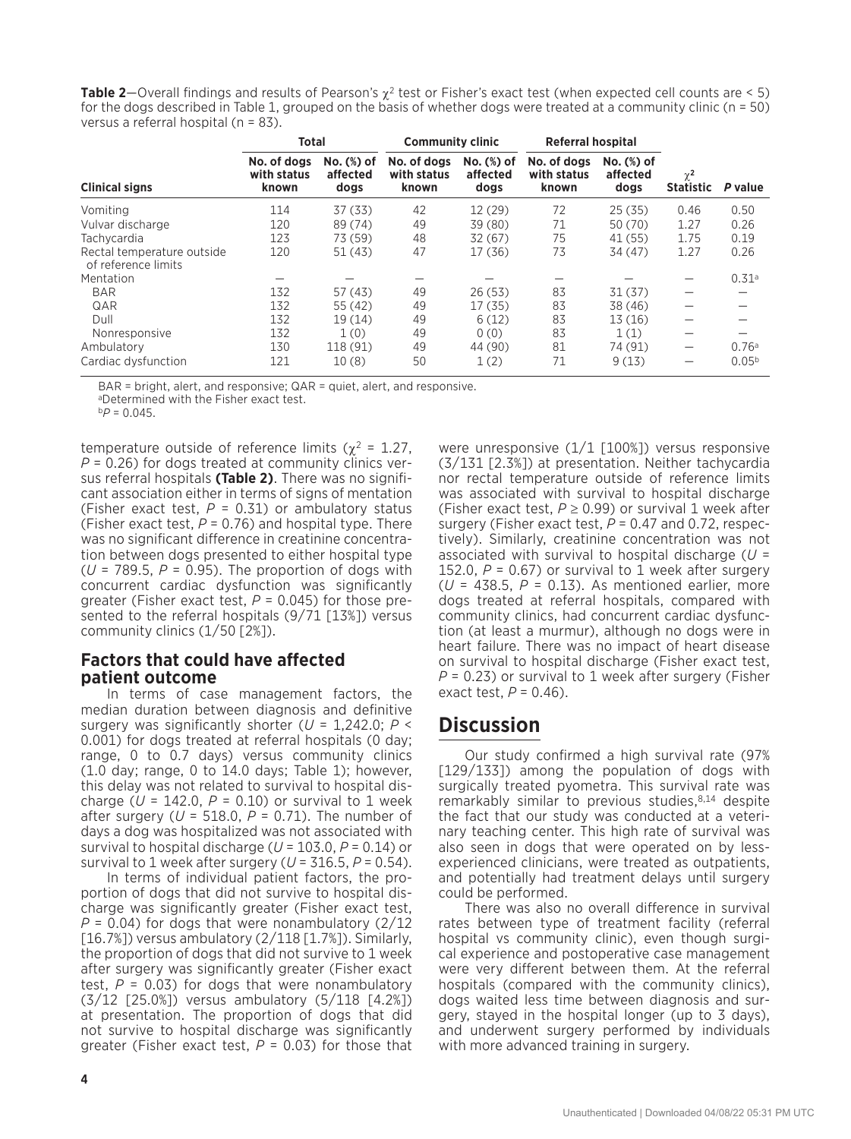**Table 2**—Overall findings and results of Pearson's  $\chi^2$  test or Fisher's exact test (when expected cell counts are < 5) for the dogs described in Table 1, grouped on the basis of whether dogs were treated at a community clinic (n = 50) versus a referral hospital (n = 83).

|                                                   | <b>Total</b>                        |                                  | <b>Community clinic</b>             |                                | <b>Referral hospital</b>            |                                  |                              |                   |
|---------------------------------------------------|-------------------------------------|----------------------------------|-------------------------------------|--------------------------------|-------------------------------------|----------------------------------|------------------------------|-------------------|
| <b>Clinical signs</b>                             | No. of dogs<br>with status<br>known | $No.$ $%$ of<br>affected<br>dogs | No. of dogs<br>with status<br>known | No. (%) of<br>affected<br>dogs | No. of dogs<br>with status<br>known | $No.$ $%$ of<br>affected<br>dogs | $\chi^2$<br><b>Statistic</b> | P value           |
| Vomiting                                          | 114                                 | 37(33)                           | 42                                  | 12(29)                         | 72                                  | 25(35)                           | 0.46                         | 0.50              |
| Vulvar discharge                                  | 120                                 | 89 (74)                          | 49                                  | 39 (80)                        | 71                                  | 50 (70)                          | 1.27                         | 0.26              |
| Tachycardia                                       | 123                                 | 73 (59)                          | 48                                  | 32(67)                         | 75                                  | 41(55)                           | 1.75                         | 0.19              |
| Rectal temperature outside<br>of reference limits | 120                                 | 51(43)                           | 47                                  | 17(36)                         | 73                                  | 34 (47)                          | 1.27                         | 0.26              |
| Mentation                                         |                                     |                                  |                                     |                                |                                     |                                  |                              | 0.31 <sup>a</sup> |
| <b>BAR</b>                                        | 132                                 | 57 (43)                          | 49                                  | 26(53)                         | 83                                  | 31(37)                           |                              |                   |
| QAR                                               | 132                                 | 55(42)                           | 49                                  | 17(35)                         | 83                                  | 38 (46)                          |                              |                   |
| Dull                                              | 132                                 | 19(14)                           | 49                                  | 6(12)                          | 83                                  | 13(16)                           | $\overline{\phantom{0}}$     |                   |
| Nonresponsive                                     | 132                                 | 1(0)                             | 49                                  | 0(0)                           | 83                                  | 1(1)                             |                              |                   |
| Ambulatory                                        | 130                                 | 118 (91)                         | 49                                  | 44 (90)                        | 81                                  | 74 (91)                          | $\overline{\phantom{m}}$     | 0.76a             |
| Cardiac dysfunction                               | 121                                 | 10(8)                            | 50                                  | 1(2)                           | 71                                  | 9(13)                            |                              | 0.05 <sup>b</sup> |

BAR = bright, alert, and responsive; QAR = quiet, alert, and responsive.

aDetermined with the Fisher exact test.

 $bP = 0.045$ .

temperature outside of reference limits ( $χ² = 1.27$ , *P* = 0.26) for dogs treated at community clinics versus referral hospitals **(Table 2)**. There was no significant association either in terms of signs of mentation (Fisher exact test,  $P = 0.31$ ) or ambulatory status (Fisher exact test,  $P = 0.76$ ) and hospital type. There was no significant difference in creatinine concentration between dogs presented to either hospital type ( $U = 789.5$ ,  $P = 0.95$ ). The proportion of dogs with concurrent cardiac dysfunction was significantly greater (Fisher exact test, *P* = 0.045) for those presented to the referral hospitals (9/71 [13%]) versus community clinics (1/50 [2%]).

## **Factors that could have affected patient outcome**

In terms of case management factors, the median duration between diagnosis and definitive surgery was significantly shorter (*U* = 1,242.0; *P* < 0.001) for dogs treated at referral hospitals (0 day; range, 0 to 0.7 days) versus community clinics (1.0 day; range, 0 to 14.0 days; Table 1); however, this delay was not related to survival to hospital discharge ( $U = 142.0$ ,  $P = 0.10$ ) or survival to 1 week after surgery ( $U = 518.0$ ,  $P = 0.71$ ). The number of days a dog was hospitalized was not associated with survival to hospital discharge (*U* = 103.0, *P* = 0.14) or survival to 1 week after surgery ( $U = 316.5$ ,  $P = 0.54$ ).

In terms of individual patient factors, the proportion of dogs that did not survive to hospital discharge was significantly greater (Fisher exact test,  $P = 0.04$ ) for dogs that were nonambulatory (2/12)  $[16.7\%]$ ) versus ambulatory  $(2/118 [1.7\%])$ . Similarly, the proportion of dogs that did not survive to 1 week after surgery was significantly greater (Fisher exact test,  $P = 0.03$ ) for dogs that were nonambulatory (3/12 [25.0%]) versus ambulatory (5/118 [4.2%]) at presentation. The proportion of dogs that did not survive to hospital discharge was significantly greater (Fisher exact test, *P* = 0.03) for those that were unresponsive (1/1 [100%]) versus responsive (3/131 [2.3%]) at presentation. Neither tachycardia nor rectal temperature outside of reference limits was associated with survival to hospital discharge (Fisher exact test,  $P \ge 0.99$ ) or survival 1 week after surgery (Fisher exact test, *P* = 0.47 and 0.72, respectively). Similarly, creatinine concentration was not associated with survival to hospital discharge (*U* = 152.0,  $P = 0.67$ ) or survival to 1 week after surgery (*U* = 438.5, *P* = 0.13). As mentioned earlier, more dogs treated at referral hospitals, compared with community clinics, had concurrent cardiac dysfunction (at least a murmur), although no dogs were in heart failure. There was no impact of heart disease on survival to hospital discharge (Fisher exact test, *P* = 0.23) or survival to 1 week after surgery (Fisher exact test,  $P = 0.46$ ).

# **Discussion**

Our study confirmed a high survival rate (97% [129/133]) among the population of dogs with surgically treated pyometra. This survival rate was remarkably similar to previous studies, $8,14$  despite the fact that our study was conducted at a veterinary teaching center. This high rate of survival was also seen in dogs that were operated on by lessexperienced clinicians, were treated as outpatients, and potentially had treatment delays until surgery could be performed.

There was also no overall difference in survival rates between type of treatment facility (referral hospital vs community clinic), even though surgical experience and postoperative case management were very different between them. At the referral hospitals (compared with the community clinics), dogs waited less time between diagnosis and surgery, stayed in the hospital longer (up to 3 days), and underwent surgery performed by individuals with more advanced training in surgery.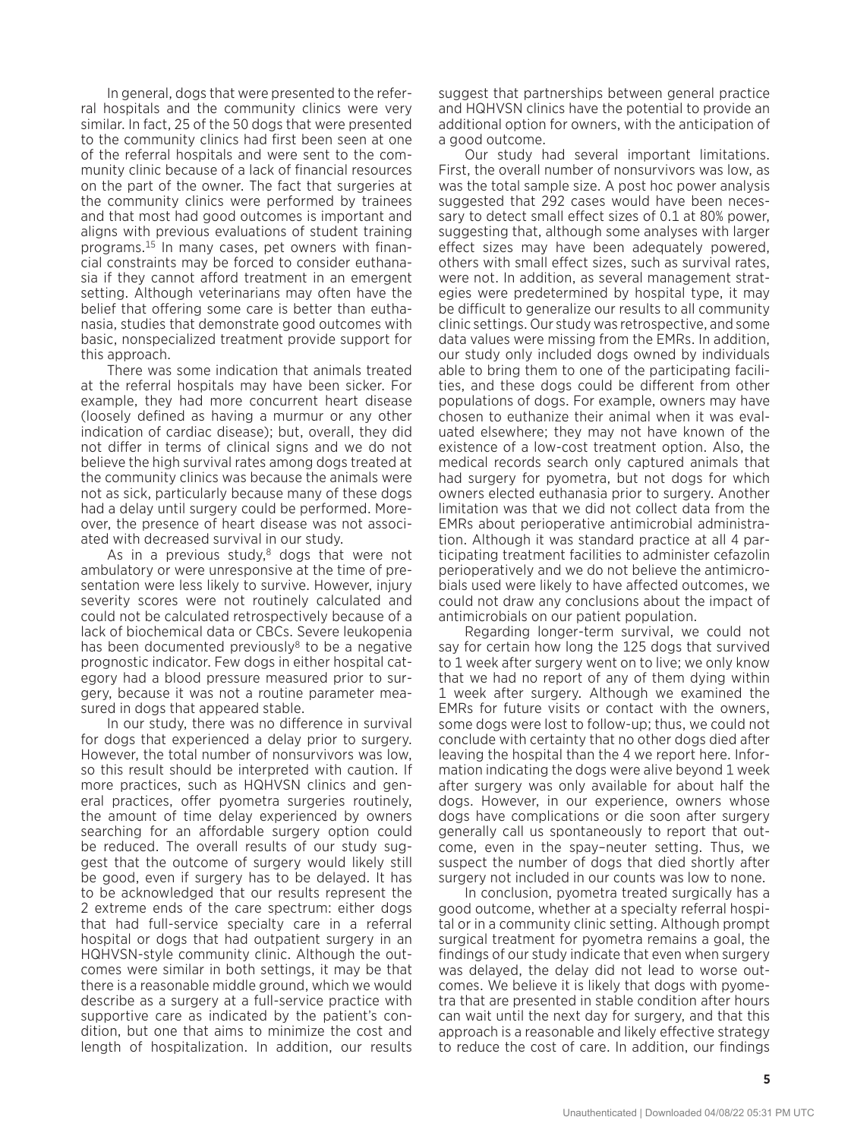In general, dogs that were presented to the referral hospitals and the community clinics were very similar. In fact, 25 of the 50 dogs that were presented to the community clinics had first been seen at one of the referral hospitals and were sent to the community clinic because of a lack of financial resources on the part of the owner. The fact that surgeries at the community clinics were performed by trainees and that most had good outcomes is important and aligns with previous evaluations of student training programs.15 In many cases, pet owners with financial constraints may be forced to consider euthanasia if they cannot afford treatment in an emergent setting. Although veterinarians may often have the belief that offering some care is better than euthanasia, studies that demonstrate good outcomes with basic, nonspecialized treatment provide support for this approach.

There was some indication that animals treated at the referral hospitals may have been sicker. For example, they had more concurrent heart disease (loosely defined as having a murmur or any other indication of cardiac disease); but, overall, they did not differ in terms of clinical signs and we do not believe the high survival rates among dogs treated at the community clinics was because the animals were not as sick, particularly because many of these dogs had a delay until surgery could be performed. Moreover, the presence of heart disease was not associated with decreased survival in our study.

As in a previous study, $8$  dogs that were not ambulatory or were unresponsive at the time of presentation were less likely to survive. However, injury severity scores were not routinely calculated and could not be calculated retrospectively because of a lack of biochemical data or CBCs. Severe leukopenia has been documented previously $8$  to be a negative prognostic indicator. Few dogs in either hospital category had a blood pressure measured prior to surgery, because it was not a routine parameter measured in dogs that appeared stable.

In our study, there was no difference in survival for dogs that experienced a delay prior to surgery. However, the total number of nonsurvivors was low, so this result should be interpreted with caution. If more practices, such as HQHVSN clinics and general practices, offer pyometra surgeries routinely, the amount of time delay experienced by owners searching for an affordable surgery option could be reduced. The overall results of our study suggest that the outcome of surgery would likely still be good, even if surgery has to be delayed. It has to be acknowledged that our results represent the 2 extreme ends of the care spectrum: either dogs that had full-service specialty care in a referral hospital or dogs that had outpatient surgery in an HQHVSN-style community clinic. Although the outcomes were similar in both settings, it may be that there is a reasonable middle ground, which we would describe as a surgery at a full-service practice with supportive care as indicated by the patient's condition, but one that aims to minimize the cost and length of hospitalization. In addition, our results

suggest that partnerships between general practice and HQHVSN clinics have the potential to provide an additional option for owners, with the anticipation of a good outcome.

Our study had several important limitations. First, the overall number of nonsurvivors was low, as was the total sample size. A post hoc power analysis suggested that 292 cases would have been necessary to detect small effect sizes of 0.1 at 80% power, suggesting that, although some analyses with larger effect sizes may have been adequately powered, others with small effect sizes, such as survival rates, were not. In addition, as several management strategies were predetermined by hospital type, it may be difficult to generalize our results to all community clinic settings. Our study was retrospective, and some data values were missing from the EMRs. In addition, our study only included dogs owned by individuals able to bring them to one of the participating facilities, and these dogs could be different from other populations of dogs. For example, owners may have chosen to euthanize their animal when it was evaluated elsewhere; they may not have known of the existence of a low-cost treatment option. Also, the medical records search only captured animals that had surgery for pyometra, but not dogs for which owners elected euthanasia prior to surgery. Another limitation was that we did not collect data from the EMRs about perioperative antimicrobial administration. Although it was standard practice at all 4 participating treatment facilities to administer cefazolin perioperatively and we do not believe the antimicrobials used were likely to have affected outcomes, we could not draw any conclusions about the impact of antimicrobials on our patient population.

Regarding longer-term survival, we could not say for certain how long the 125 dogs that survived to 1 week after surgery went on to live; we only know that we had no report of any of them dying within 1 week after surgery. Although we examined the EMRs for future visits or contact with the owners, some dogs were lost to follow-up; thus, we could not conclude with certainty that no other dogs died after leaving the hospital than the 4 we report here. Information indicating the dogs were alive beyond 1 week after surgery was only available for about half the dogs. However, in our experience, owners whose dogs have complications or die soon after surgery generally call us spontaneously to report that outcome, even in the spay–neuter setting. Thus, we suspect the number of dogs that died shortly after surgery not included in our counts was low to none.

In conclusion, pyometra treated surgically has a good outcome, whether at a specialty referral hospital or in a community clinic setting. Although prompt surgical treatment for pyometra remains a goal, the findings of our study indicate that even when surgery was delayed, the delay did not lead to worse outcomes. We believe it is likely that dogs with pyometra that are presented in stable condition after hours can wait until the next day for surgery, and that this approach is a reasonable and likely effective strategy to reduce the cost of care. In addition, our findings